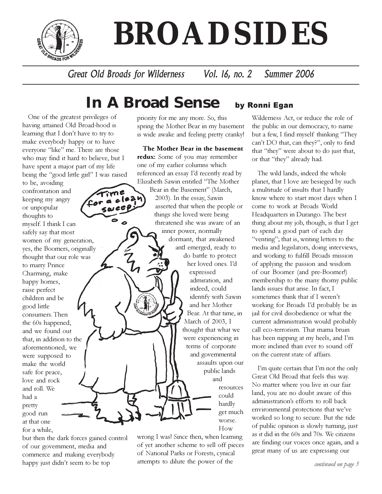

# **BROADSIDES**

Great Old Broads for Wilderness Vol. 16, no. 2 Summer 2006

# **In A Broad Sense** by Ronni Egan

One of the greatest privileges of having attained Old Broad-hood is learning that I don't have to try to make everybody happy or to have everyone "like" me. There are those who may find it hard to believe, but I have spent a major part of my life being the "good little girl" I was raised

to be, avoiding confrontation and keeping my angry or unpopular thoughts to myself. I think I can safely say that most women of my generation, yes, the Boomers, originally thought that our role was to marry Prince Charming, make happy homes, raise perfect children and be good little consumers. Then the 60s happened, and we found out that, in addition to the aforementioned, we were supposed to make the world safe for peace, love and rock and roll. We had a pretty good run at that one for a while,

but then the dark forces gained control of our government, media and commerce and making everybody happy just didn't seem to be top

priority for me any more. So, this spring the Mother Bear in my basement is wide awake and feeling pretty cranky!

The Mother Bear in the basement redux: Some of you may remember one of my earlier columns which referenced an essay I'd recently read by Elizabeth Sawin entitled "The Mother Bear in the Basement" (March, 2003). In the essay, Sawin asserted that when the people or things she loved were being threatened she was aware of an inner power, normally dormant, that awakened and emerged, ready to do battle to protect her loved ones. I'd expressed admiration, and indeed, could identify with Sawin and her Mother Bear. At that time, in March of 2003, I thought that what we were experiencing in terms of corporate and governmental assaults upon our public lands and resources could hardly get much worse.

wrong I was! Since then, when learning of yet another scheme to sell off pieces of National Parks or Forests, cynical attempts to dilute the power of the

How

Wilderness Act, or reduce the role of the public in our democracy, to name but a few, I find myself thinking "They can't DO that, can they?", only to find that "they" were about to do just that, or that "they" already had.

The wild lands, indeed the whole planet, that I love are besieged by such a multitude of insults that I hardly know where to start most days when I come to work at Broads World Headquarters in Durango. The best thing about my job, though, is that I get to spend a good part of each day "venting"; that is, writing letters to the media and legislators, doing interviews, and working to fulfill Broads mission of applying the passion and wisdom of our Boomer (and pre-Boomer!) membership to the many thorny public lands issues that arise. In fact, I sometimes think that if I weren't working for Broads I'd probably be in jail for civil disobedience or what the current administration would probably call eco-terrorism. That mama bruin has been nipping at my heels, and I'm more inclined than ever to sound off on the current state of affairs.

I'm quite certain that I'm not the only Great Old Broad that feels this way. No matter where you live in our fair land, you are no doubt aware of this administration's efforts to roll back environmental protections that we've worked so long to secure. But the tide of public opinion is slowly turning, just as it did in the 60s and 70s. We citizens are finding our voices once again, and a great many of us are expressing our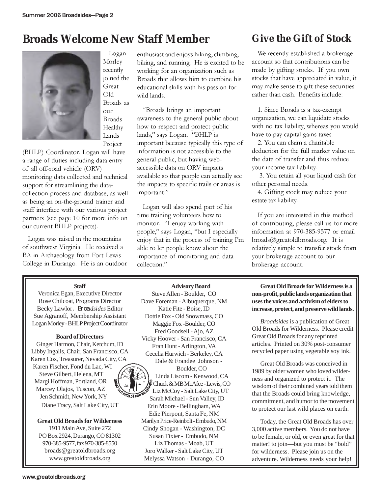## **Broads Welcome New Staff Member**



Logan Morley recently joined the Great Old Broads as our Broads Healthy Lands Project

(BHLP) Coordinator. Logan will have a range of duties including data entry of all off-road vehicle (ORV) monitoring data collected and technical support for streamlining the datacollection process and database, as well as being an on-the-ground trainer and staff interface with our various project partners (see page 10 for more info on our current BHLP projects).

Logan was raised in the mountains of southwest Virginia. He received a BA in Archaeology from Fort Lewis College in Durango. He is an outdoor

#### enthusiast and enjoys hiking, climbing, biking, and running. He is excited to be working for an organization such as Broads that allows him to combine his educational skills with his passion for wild lands.

"Broads brings an important awareness to the general public about how to respect and protect public lands," says Logan. "BHLP is important because typically this type of information is not accessible to the general public, but having webaccessible data on ORV impacts available so that people can actually see the impacts to specific trails or areas is important."

Logan will also spend part of his time training volunteers how to monitor. "I enjoy working with people," says Logan, "but I especially enjoy that in the process of training I'm able to let people know about the importance of monitoring and data collection."

### **Give the Gift of Stock**

We recently established a brokerage account so that contributions can be made by gifting stocks. If you own stocks that have appreciated in value, it may make sense to gift these securities rather than cash. Benefits include:

1. Since Broads is a tax-exempt organization, we can liquidate stocks with no tax liability, whereas you would have to pay capital gains taxes.

2. You can claim a charitable deduction for the full market value on the date of transfer and thus reduce your income tax liability.

 3. You retain all your liquid cash for other personal needs.

4. Gifting stock may reduce your estate tax liability.

If you are interested in this method of contributing, please call us for more information at 970-385-9577 or email broads@greatoldbroads.org. It is relatively simple to transfer stock from your brokerage account to our brokerage account.

#### **Staff**

Veronica Egan, Executive Director Rose Chilcoat, Programs Director Becky Lawlor, Broa*dsides* Editor Sue Agranoff, Membership Assistant Logan Morley - BHLP Project Coordinator

#### **Board of Directors**

Ginger Harmon, Chair, Ketchum, ID Libby Ingalls, Chair, San Francisco, CA Karen Cox, Treasurer, Nevada City, CA Karen Fischer, Fond du Lac, WI Steve Gilbert, Helena, MT Margi Hoffman, Portland, OR Marcey Olajos, Tuscon, AZ Jen Schmidt, New York, NY Diane Tracy, Salt Lake City, UT

#### **Great Old Broads for Wilderness**

1911 Main Ave, Suite 272 PO Box 2924, Durango, CO 81302 970-385-9577, fax 970-385-8550 broads@greatoldbroads.org www.greatoldbroads.org

**Advisory Board** Steve Allen - Boulder, CO Dave Foreman - Albuquerque, NM Katie Fite - Boise, ID Dottie Fox - Old Snowmass, CO Maggie Fox -Boulder, CO Fred Goodsell - Ajo, AZ Vicky Hoover - San Francisco, CA Fran Hunt - Arlington, VA Cecelia Hurwich - Berkeley, CA Dale & Frandee Johnson - Boulder, CO Linda Liscom - Kenwood, CA Chuck & MB McAfee - Lewis, CO Liz McCoy - Salt Lake City, UT **OADS FOR W** Sarah Michael - Sun Valley, ID Erin Moore - Bellingham, WA Edie Pierpont, Santa Fe, NM Marilyn Price-Reinbolt - Embudo, NM Cindy Shogan - Washington, DC Susan Tixier - Embudo, NM Liz Thomas - Moab, UT Joro Walker - Salt Lake City, UT Melyssa Watson - Durango, CO

**Great Old Broads for Wilderness is a non-profit, public lands organization that uses the voices and activism of elders to increase, protect, and preserve wild lands.**

*Broadsides* is a publication of Great Old Broads for Wilderness. Please credit Great Old Broads for any reprinted articles. Printed on 30% post-consumer recycled paper using vegetable soy ink.

Great Old Broads was conceived in 1989 by older women who loved wilderness and organized to protect it. The wisdom of their combined years told them that the Broads could bring knowledge, commitment, and humor to the movement to protect our last wild places on earth.

Today, the Great Old Broads has over 3,000 active members. You do not have to be female, or old, or even great for that matter! to join—but you must be "bold" for wilderness. Please join us on the adventure. Wilderness needs your help!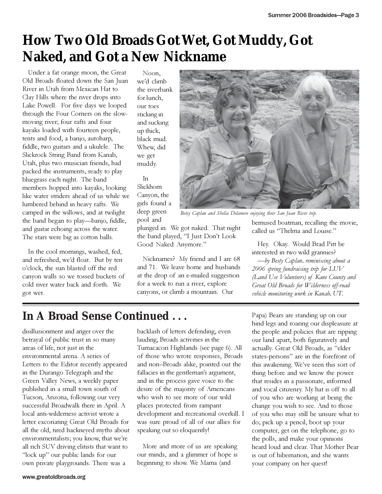# **How Two Old Broads Got Wet, Got Muddy, Got Naked, and Got a New Nickname**

Under a fat orange moon, the Great Old Broads floated down the San Juan River in Utah from Mexican Hat to Clay Hills where the river drops into Lake Powell. For five days we looped through the Four Corners on the slowmoving river; four rafts and four kayaks loaded with fourteen people, tents and food, a banjo, autoharp, fiddle, two guitars and a ukulele. The Slickrock String Band from Kanab, Utah, plus two musician friends, had packed the instruments, ready to play bluegrass each night. The band members hopped into kayaks, looking like water striders ahead of us while we lumbered behind in heavy rafts. We camped in the willows, and at twilight the band began to play—banjo, fiddle, and guitar echoing across the water. The stars were big as cotton balls.

In the cool mornings, washed, fed, and refreshed, we'd float. But by ten o'clock, the sun blasted off the red canyon walls so we tossed buckets of cold river water back and forth. We got wet.

Noon, we'd climb the riverbank for lunch, our toes sticking in and sucking up thick, black mud. Whew, did we get muddy.

In Slickhorn Canyon, the girls found a deep green pool and



Betsy Caplan and Shelia Delamere enjoying their San Juan River trip.

plunged in. We got naked. That night the band played, "I Just Don't Look Good Naked Anymore."

Nicknames? My friend and I are 68 and 71. We leave home and husbands at the drop of an e-mailed suggestion for a week to run a river, explore canyons, or climb a mountain. Our

bemused boatman, recalling the movie, called us "Thelma and Louise."

Hey. Okay. Would Brad Pitt be interested in two wild grannies?

—by Besty Caplan, reminiscing about a 2006 spring fundraising trip for LUV (Land Use Volunteers) of Kane County and Great Old Broads for Wilderness off-road vehicle monitoring work in Kanab, UT.

### **In A Broad Sense Continued . . .**

disillusionment and anger over the betrayal of public trust in so many areas of life, not just in the environmental arena. A series of Letters to the Editor recently appeared in the Durango Telegraph and the Green Valley News, a weekly paper published in a small town south of Tucson, Arizona, following our very successful Broadwalk there in April. A local anti-wilderness activist wrote a letter excoriating Great Old Broads for all the old, tired hackneyed myths about environmentalists; you know, that we're all rich SUV driving elitists that want to "lock up" our public lands for our own private playgrounds. There was a

backlash of letters defending, even lauding, Broads activities in the Tumacacori Highlands (see page 6). All of those who wrote responses, Broads and non–Broads alike, pointed out the fallacies in the gentleman's argument, and in the process gave voice to the desire of the majority of Americans who wish to see more of our wild places protected from rampant development and recreational overkill. I was sure proud of all of our allies for speaking out so eloquently!

More and more of us are speaking our minds, and a glimmer of hope is beginning to show. We Mama (and

Papa) Bears are standing up on our hind legs and roaring our displeasure at the people and policies that are ripping our land apart, both figuratively and actually. Great Old Broads, as "elder states-persons" are in the forefront of this awakening. We've seen this sort of thing before and we know the power that resides in a passionate, informed and vocal citizenry. My hat is off to all of you who are working at being the change you wish to see. And to those of you who may still be unsure what to do; pick up a pencil, boot up your computer, get on the telephone, go to the polls, and make your opinions heard loud and clear. That Mother Bear is out of hibernation, and she wants your company on her quest!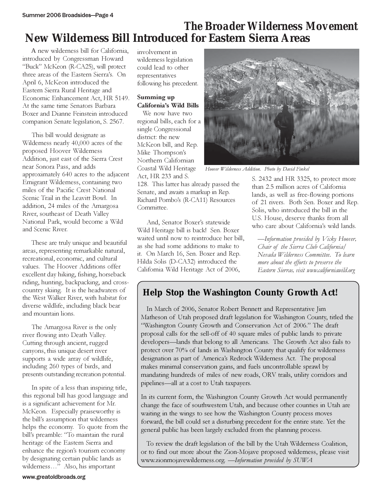### *The Broader Wilderness Movement*  **New Wilderness Bill Introduced for Eastern Sierra Areas**

 A new wilderness bill for California, introduced by Congressman Howard "Buck" McKeon (R-CA25), will protect three areas of the Eastern Sierra's. On April 6, McKeon introduced the Eastern Sierra Rural Heritage and Economic Enhancement Act, HR 5149. At the same time Senators Barbara Boxer and Dianne Feinstein introduced companion Senate legislation, S. 2567.

 This bill would designate as Wilderness nearly 40,000 acres of the proposed Hoover Wilderness Addition, just east of the Sierra Crest near Sonora Pass, and adds approximately 640 acres to the adjacent Emigrant Wilderness, containing two miles of the Pacific Crest National Scenic Trail in the Leavitt Bowl. In addition, 24 miles of the Amargosa River, southeast of Death Valley National Park, would become a Wild and Scenic River.

 These are truly unique and beautiful areas, representing remarkable natural, recreational, economic, and cultural values. The Hoover Additions offer excellent day hiking, fishing, horseback riding, hunting, backpacking, and crosscountry skiing. It is the headwaters of the West Walker River, with habitat for diverse wildlife, including black bear and mountain lions.

 The Amargosa River is the only river flowing into Death Valley. Cutting through ancient, rugged canyons, this unique desert river supports a wide array of wildlife, including 260 types of birds, and presents outstanding recreation potential.

 In spite of a less than inspiring title, this regional bill has good language and is a significant achievement for Mr. McKeon. Especially praiseworthy is the bill's assumption that wilderness helps the economy. To quote from the bill's preamble: "To maintain the rural heritage of the Eastern Sierra and enhance the region's tourism economy by designating certain public lands as wilderness…" Also, his important

involvement in wilderness legislation could lead to other representatives following his precedent.

#### Summing up California's Wild Bills

We now have two regional bills, each for a single Congressional district: the new McKeon bill, and Rep. Mike Thompson's Northern Californian Coastal Wild Heritage Act, HR 233 and S.

128. This latter has already passed the Senate, and awaits a markup in Rep. Richard Pombo's (R-CA11) Resources Committee.

 And, Senator Boxer's statewide Wild Heritage bill is back! Sen. Boxer waited until now to reintroduce her bill, as she had some additions to make to it. On March 16, Sen. Boxer and Rep. Hilda Solis (D-CA32) introduced the California Wild Heritage Act of 2006,



Hoover Wilderness Addition. Photo by David Finkel

S. 2432 and HR 3325, to protect more than 2.5 million acres of California lands, as well as free-flowing portions of 21 rivers. Both Sen. Boxer and Rep. Solis, who introduced the bill in the U.S. House, deserve thanks from all who care about California's wild lands.

—Information provided by Vicky Hoover, Chair of the Sierra Club California/ Nevada Wilderness Committee. To learn more about the efforts to preserve the Eastern Sierras, visit www.californiawild.org

### **Help Stop the Washington County Growth Act!**

In March of 2006, Senator Robert Bennett and Representative Jim Matheson of Utah proposed draft legislation for Washington County, titled the "Washington County Growth and Conservation Act of 2006." The draft proposal calls for the sell-off of 40 square miles of public lands to private developers—lands that belong to all Americans. The Growth Act also fails to protect over 70% of lands in Washington County that qualify for wilderness designation as part of America's Redrock Wilderness Act. The proposal makes minimal conservation gains, and fuels uncontrollable sprawl by mandating hundreds of miles of new roads, ORV trails, utility corridors and pipelines—all at a cost to Utah taxpayers.

In its current form, the Washington County Growth Act would permanently change the face of southwestern Utah, and because other counties in Utah are waiting in the wings to see how the Washington County process moves forward, the bill could set a disturbing precedent for the entire state. Yet the general public has been largely excluded from the planning process.

To review the draft legislation of the bill by the Utah Wilderness Coalition, or to find out more about the Zion-Mojave proposed wilderness, please visit www.zionmojavewilderness.org. —Information provided by SUWA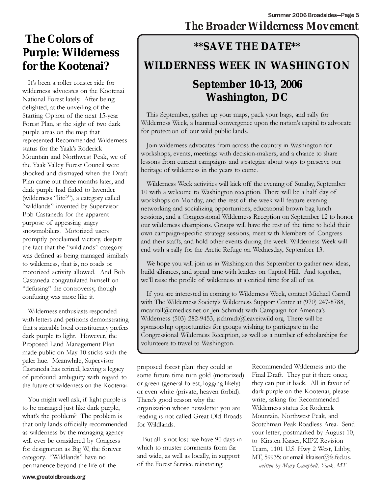### **The Colors of Purple: Wilderness for the Kootenai?**

It's been a roller coaster ride for wilderness advocates on the Kootenai National Forest lately. After being delighted, at the unveiling of the Starting Option of the next 15-year Forest Plan, at the sight of two dark purple areas on the map that represented Recommended Wilderness status for the Yaak's Roderick Mountain and Northwest Peak, we of the Yaak Valley Forest Council were shocked and dismayed when the Draft Plan came out three months later, and dark purple had faded to lavender (wilderness "lite?"), a category called "wildlands" invented by Supervisor Bob Castaneda for the apparent purpose of appeasing angry snowmobilers. Motorized users promptly proclaimed victory, despite the fact that the "wildlands" category was defined as being managed similarly to wilderness, that is, no roads or motorized activity allowed. And Bob Castaneda congratulated himself on "defusing" the controversy, though confusing was more like it.

Wilderness enthusiasts responded with letters and petitions demonstrating that a sizeable local constituency prefers dark purple to light. However, the Proposed Land Management Plan made public on May 10 sticks with the paler hue. Meanwhile, Supervisor Castaneda has retired, leaving a legacy of profound ambiguity with regard to the future of wilderness on the Kootenai.

You might well ask, if light purple is to be managed just like dark purple, what's the problem? The problem is that only lands officially recommended as wilderness by the managing agency will ever be considered by Congress for designation as Big W, the forever category. "Wildlands" have no permanence beyond the life of the

## *The Broader Wilderness Movement*

# **\*\*SAVE THE DATE\*\* WILDERNESS WEEK IN WASHINGTON September 10-13, 2006 Washington, DC**

This September, gather up your maps, pack your bags, and rally for Wilderness Week, a biannual convergence upon the nation's capital to advocate for protection of our wild public lands.

Join wilderness advocates from across the country in Washington for workshops, events, meetings with decision-makers, and a chance to share lessons from current campaigns and strategize about ways to preserve our heritage of wilderness in the years to come.

Wilderness Week activities will kick off the evening of Sunday, September 10 with a welcome to Washington reception. There will be a half day of workshops on Monday, and the rest of the week will feature evening networking and socializing opportunities, educational brown bag lunch sessions, and a Congressional Wilderness Reception on September 12 to honor our wilderness champions. Groups will have the rest of the time to hold their own campaign-specific strategy sessions, meet with Members of Congress and their staffs, and hold other events during the week. Wilderness Week will end with a rally for the Arctic Refuge on Wednesday, September 13.

We hope you will join us in Washington this September to gather new ideas, build alliances, and spend time with leaders on Capitol Hill. And together, we'll raise the profile of wilderness at a critical time for all of us.

If you are interested in coming to Wilderness Week, contact Michael Carroll with The Wilderness Society's Wilderness Support Center at (970) 247-8788, mcarroll@cmedics.net or Jen Schmidt with Campaign for America's Wilderness (503) 282-9453, jschmidt@leaveitwild.org. There will be sponsorship opportunities for groups wishing to participate in the Congressional Wilderness Reception, as well as a number of scholarships for volunteers to travel to Washington.

proposed forest plan: they could at some future time turn gold (motorized) or green (general forest, logging likely) or even white (private, heaven forbid). There's good reason why the organization whose newsletter you are reading is not called Great Old Broads for Wildlands.

But all is not lost: we have 90 days in which to muster comments from far and wide, as well as locally, in support of the Forest Service reinstating

Recommended Wilderness into the Final Draft. They put it there once; they can put it back. All in favor of dark purple on the Kootenai, please write, asking for Recommended Wilderness status for Roderick Mountain, Northwest Peak, and Scotchman Peak Roadless Area. Send your letter, postmarked by August 10, to Kirsten Kaiser, KIPZ Revision Team, 1101 U.S. Hwy 2 West, Libby, MT, 59935; or email kkaiser@fs.fed.us. —written by Mary Campbell, Yaak, MT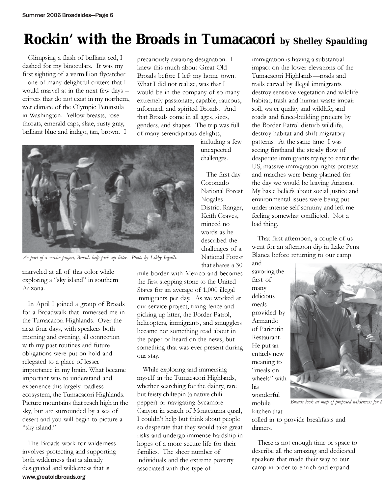# **Rockin' with the Broads in Tumacacori by Shelley Spaulding**

Glimpsing a flash of brilliant red, I dashed for my binoculars. It was my first sighting of a vermillion flycatcher – one of many delightful critters that I would marvel at in the next few days – critters that do not exist in my northern, wet climate of the Olympic Peninsula in Washington. Yellow breasts, rose throats, emerald caps, slate, rusty gray, brilliant blue and indigo, tan, brown. I

precariously awaiting designation. I knew this much about Great Old Broads before I left my home town. What I did not realize, was that I would be in the company of so many extremely passionate, capable, raucous, informed, and spirited Broads. And that Broads come in all ages, sizes, genders, and shapes. The trip was full of many serendipitous delights,



As part of a service project, Broads help pick up litter. Photo by Libby Ingalls.

marveled at all of this color while exploring a "sky island" in southern Arizona.

In April I joined a group of Broads for a Broadwalk that immersed me in the Tumacacori Highlands. Over the next four days, with speakers both morning and evening, all connection with my past routines and future obligations were put on hold and relegated to a place of lesser importance in my brain. What became important was to understand and experience this largely roadless ecosystem, the Tumacacori Highlands. Picture mountains that reach high in the sky, but are surrounded by a sea of desert and you will begin to picture a "sky island."

www.greatoldbroads.org The Broads work for wilderness involves protecting and supporting both wilderness that is already designated and wilderness that is

including a few unexpected challenges.

The first day Coronado National Forest Nogales District Ranger, Keith Graves, minced no words as he described the challenges of a National Forest that shares a 30

mile border with Mexico and becomes the first stepping stone to the United States for an average of 1,000 illegal immigrants per day. As we worked at our service project, fixing fence and picking up litter, the Border Patrol, helicopters, immigrants, and smugglers became not something read about in the paper or heard on the news, but something that was ever present during our stay.

While exploring and immersing myself in the Tumacacori Highlands, whether searching for the dainty, rare but feisty chiltepin (a native chili pepper) or navigating Sycamore Canyon in search of Montezuma quail, I couldn't help but think about people so desperate that they would take great risks and undergo immense hardship in hopes of a more secure life for their families. The sheer number of individuals and the extreme poverty associated with this type of

immigration is having a substantial impact on the lower elevations of the Tumacacori Highlands—roads and trails carved by illegal immigrants destroy sensitive vegetation and wildlife habitat; trash and human waste impair soil, water quality and wildlife; and roads and fence-building projects by the Border Patrol disturb wildlife, destroy habitat and shift migratory patterns. At the same time I was seeing firsthand the steady flow of desperate immigrants trying to enter the US, massive immigration rights protests and marches were being planned for the day we would be leaving Arizona. My basic beliefs about social justice and environmental issues were being put under intense self scrutiny and left me feeling somewhat conflicted. Not a bad thing.

That first afternoon, a couple of us went for an afternoon dip in Lake Pena Blanca before returning to our camp

and savoring the first of many delicious meals provided by Armando of Paricutin Restaurant. He put an entirely new meaning to "meals on wheels" with his wonderful mobile kitchen that



Broads look at map of proposed wilderness for t

rolled in to provide breakfasts and dinners.

There is not enough time or space to describe all the amazing and dedicated speakers that made their way to our camp in order to enrich and expand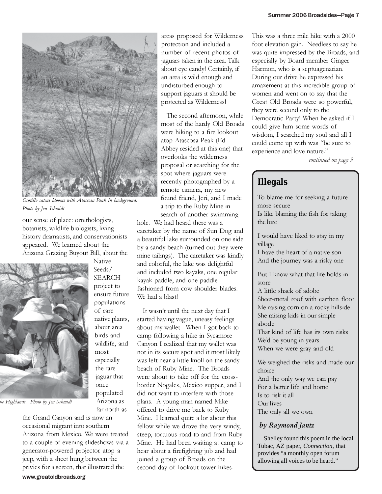

Ocotillo catcus blooms with Atascosa Peak in background. Photo by Jen Schmidt

our sense of place: ornithologists, botanists, wildlife biologists, living history dramatists, and conservationists appeared. We learned about the Arizona Grazing Buyout Bill, about the

> Native Seeds/ SEARCH project to ensure future populations of rare native plants, about area birds and wildlife, and

most especially the rare jaguar that once populated Arizona as far north as



be Highlands. Photo by Jen Schmidt

the Grand Canyon and is now an occasional migrant into southern Arizona from Mexico. We were treated to a couple of evening slideshows via a generator-powered projector atop a jeep, with a sheet hung between the privies for a screen, that illustrated the

areas proposed for Wilderness protection and included a number of recent photos of jaguars taken in the area. Talk about eye candy! Certainly, if an area is wild enough and undisturbed enough to support jaguars it should be protected as Wilderness!

The second afternoon, while most of the hardy Old Broads were hiking to a fire lookout atop Atascosa Peak (Ed Abbey resided at this one) that overlooks the wilderness proposal or searching for the spot where jaguars were recently photographed by a remote camera, my new found friend, Jeri, and I made a trip to the Ruby Mine in search of another swimming

hole. We had heard there was a caretaker by the name of Sun Dog and a beautiful lake surrounded on one side by a sandy beach (turned out they were mine tailings). The caretaker was kindly and colorful, the lake was delightful and included two kayaks, one regular kayak paddle, and one paddle fashioned from cow shoulder blades. We had a blast!

It wasn't until the next day that I started having vague, uneasy feelings about my wallet. When I got back to camp following a hike in Sycamore Canyon I realized that my wallet was not in its secure spot and it most likely was left near a little knoll on the sandy beach of Ruby Mine. The Broads were about to take off for the crossborder Nogales, Mexico supper, and I did not want to interfere with those plans. A young man named Mike offered to drive me back to Ruby Mine. I learned quite a lot about this fellow while we drove the very windy, steep, tortuous road to and from Ruby Mine. He had been waiting at camp to hear about a firefighting job and had joined a group of Broads on the second day of lookout tower hikes.

This was a three mile hike with a 2000 foot elevation gain. Needless to say he was quite impressed by the Broads, and especially by Board member Ginger Harmon, who is a septuagenarian. During our drive he expressed his amazement at this incredible group of women and went on to say that the Great Old Broads were so powerful, they were second only to the Democratic Party! When he asked if I could give him some words of wisdom, I searched my soul and all I could come up with was "be sure to experience and love nature."

continued on page 9

#### **Illegals**

To blame me for seeking a future more secure Is like blaming the fish for taking the lure

I would have liked to stay in my village

I have the heart of a native son And the journey was a risky one

But I know what that life holds in store

A little shack of adobe Sheet-metal roof with earthen floor Me raising corn on a rocky hillside She raising kids in our simple abode

That kind of life has its own risks We'd be young in years When we were gray and old

We weighed the risks and made our choice And the only way we can pay For a better life and home Is to risk it all Our lives The only all we own

#### by Raymond Jantz

—Shelley found this poem in the local Tubac, AZ paper, *Connection,* that provides "a monthly open forum allowing all voices to be heard."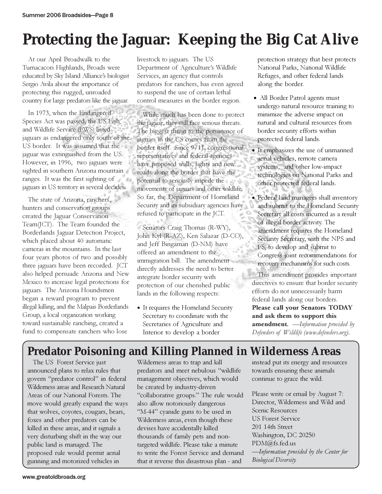# **Protecting the Jaguar: Keeping the Big Cat Alive**

At our April Broadwalk to the Tumacacori Highlands, Broads were educated by Sky Island Alliance's biologist Sergio Avila about the importance of protecting this rugged, unroaded country for large predators like the jaguar.

In 1973, when the Endangered Species Act was passed, the US Fish and Wildlife Service (FWS) listed jaguars as endangered only south of the US border. It was assumed that the jaguar was extinguished from the US. However, in 1996, two jaguars were sighted in southern Arizona mountain ranges. It was the first sighting of jaguars in US territory in several decades.

The state of Arizona, ranchers, hunters and conservation groups created the Jaguar Conservation Team(JCT). The Team founded the Borderlands Jaguar Detection Project, which placed about 40 automatic cameras in the mountains. In the last four years photos of two and possibly three jaguars have been recorded. JCT also helped persuade Arizona and New Mexico to increase legal protections for jaguars. The Arizona Houndsmen began a reward program to prevent illegal killing, and the Malpais Borderlands Group, a local organization working toward sustainable ranching, created a fund to compensate ranchers who lose

livestock to jaguars. The US Department of Agriculture's Wildlife Services, an agency that controls predators for ranchers, has even agreed to suspend the use of certain lethal control measures in the border region.

While much has been done to protect the jaguar, they still face serious threats. The biggest threat to the persistence of jaguars in the US comes from the border itself. Since 9/11, congressional representatives and federal agencies have proposed walls, lights and new roads along the border that have the potential to seriously impede the movements of jaguars and other wildlife. So far, the Department of Homeland Security and its subsidiary agencies have refused to participate in the JCT.

Senators Craig Thomas (R-WY), John Kyl (R-AZ), Ken Salazar (D-CO), and Jeff Bingaman (D-NM) have offered an amendment to the immigration bill. The amendment directly addresses the need to better integrate border security with protection of our cherished public lands in the following respects:

• It requires the Homeland Security Secretary to coordinate with the Secretaries of Agriculture and Interior to develop a border

protection strategy that best protects National Parks, National Wildlife Refuges, and other federal lands along the border.

- All Border Patrol agents must undergo natural resource training to minimize the adverse impact on natural and cultural resources from border security efforts within protected federal lands.
- It emphasizes the use of unmanned aerial vehicles, remote camera systems, and other low-impact technologies on National Parks and other protected federal lands.
- Federal land managers shall inventory and submit to the Homeland Security Secretary all costs incurred as a result of illegal border activity. The amendment requires the Homeland Security Secretary, with the NPS and FS, to develop and submit to Congress joint recommendations for recovery mechanisms for such costs.

This amendment provides important directives to ensure that border security efforts do not unnecessarily harm federal lands along our borders. Please call your Senators TODAY and ask them to support this **amendment.** —Information provided by Defenders of Wildlife (www.defenders.org).

### **Predator Poisoning and Killing Planned in Wilderness Areas**

The US Forest Service just announced plans to relax rules that govern "predator control" in federal Wilderness areas and Research Natural Areas of our National Forests. The move would greatly expand the ways that wolves, coyotes, cougars, bears, foxes and other predators can be killed in these areas, and it signals a very disturbing shift in the way our public land is managed. The proposed rule would permit aerial gunning and motorized vehicles in

Wilderness areas to trap and kill predators and meet nebulous "wildlife management objectives, which would be created by industry-driven "collaborative groups." The rule would also allow notoriously dangerous "M-44" cyanide guns to be used in Wilderness areas, even though these devises have accidentally killed thousands of family pets and nontargeted wildlife. Please take a minute to write the Forest Service and demand that it reverse this disastrous plan - and

instead put its energy and resources towards ensuring these animals continue to grace the wild.

Please write or email by August 7: Director, Wilderness and Wild and Scenic Resources US Forest Service 201 14th Street Washington, DC 20250 PDM@fs.fed.us —Information provided by the Center for Biological Diversity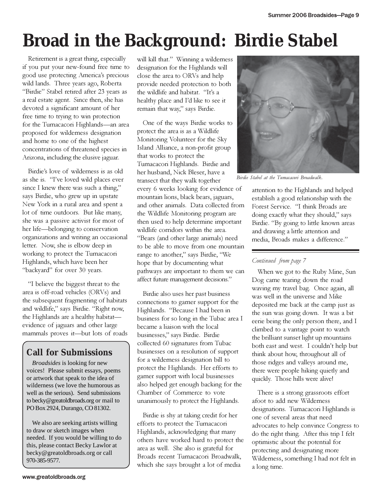# **Broad in the Background: Birdie Stabel**

Retirement is a great thing, especially if you put your new-found free time to good use protecting America's precious wild lands. Three years ago, Roberta "Birdie" Stabel retired after 23 years as a real estate agent. Since then, she has devoted a significant amount of her free time to trying to win protection for the Tumacacori Highlands—an area proposed for wilderness designation and home to one of the highest concentrations of threatened species in Arizona, including the elusive jaguar.

Birdie's love of wilderness is as old as she is. "I've loved wild places ever since I knew there was such a thing," says Birdie, who grew up in upstate New York in a rural area and spent a lot of time outdoors. But like many, she was a passive activist for most of her life—belonging to conservation organizations and writing an occasional letter. Now, she is elbow deep in working to protect the Tumacacori Highlands, which have been her "backyard" for over 30 years.

"I believe the biggest threat to the area is off-road vehicles (ORVs) and the subsequent fragmenting of habitats and wildlife," says Birdie. "Right now, the Highlands are a healthy habitat evidence of jaguars and other large mammals proves it—but lots of roads

### **Call for Submissions**

*Broadsides* is looking for new voices! Please submit essays, poems or artwork that speak to the idea of wilderness (we love the humorous as well as the serious). Send submissions to becky@greatoldbroads.org or mail to PO Box 2924, Durango, CO 81302.

We also are seeking artists willing to draw or sketch images when needed. If you would be willing to do this, please contact Becky Lawlor at becky@greatoldbroads.org or call 970-385-9577.

will kill that." Winning a wilderness designation for the Highlands will close the area to ORVs and help provide needed protection to both the wildlife and habitat. "It's a healthy place and I'd like to see it remain that way," says Birdie.

One of the ways Birdie works to protect the area is as a Wildlife Monitoring Volunteer for the Sky Island Alliance, a non-profit group that works to protect the Tumacacori Highlands. Birdie and her husband, Nick Bleser, have a transect that they walk together every 6 weeks looking for evidence of mountain lions, black bears, jaguars, and other animals. Data collected from the Wildlife Monitoring program are then used to help determine important wildlife corridors within the area. "Bears (and other large animals) need to be able to move from one mountain range to another," says Birdie, "We hope that by documenting what pathways are important to them we can affect future management decisions."

Birdie also uses her past business connections to garner support for the Highlands. "Because I had been in business for so long in the Tubac area I became a liaison with the local businesses," says Birdie. Birdie collected 60 signatures from Tubac businesses on a resolution of support for a wilderness designation bill to protect the Highlands. Her efforts to garner support with local businesses also helped get enough backing for the Chamber of Commerce to vote unanimously to protect the Highlands.

Birdie is shy at taking credit for her efforts to protect the Tumacacori Highlands, acknowledging that many others have worked hard to protect the area as well. She also is grateful for Broads recent Tumacacori Broadwalk, which she says brought a lot of media



Birdie Stabel at the Tumacacori Broadwalk.

attention to the Highlands and helped establish a good relationship with the Forest Service. "I think Broads are doing exactly what they should," says Birdie. "By going to little known areas and drawing a little attention and media, Broads makes a difference."

#### Continued from page 7

When we got to the Ruby Mine, Sun Dog came tearing down the road waving my travel bag. Once again, all was well in the universe and Mike deposited me back at the camp just as the sun was going down. It was a bit eerie being the only person there, and I climbed to a vantage point to watch the brilliant sunset light up mountains both east and west. I couldn't help but think about how, throughout all of those ridges and valleys around me, there were people hiking quietly and quickly. Those hills were alive!

There is a strong grassroots effort afoot to add new Wilderness designations. Tumacacori Highlands is one of several areas that need advocates to help convince Congress to do the right thing. After this trip I felt optimistic about the potential for protecting and designating more Wilderness, something I had not felt in a long time.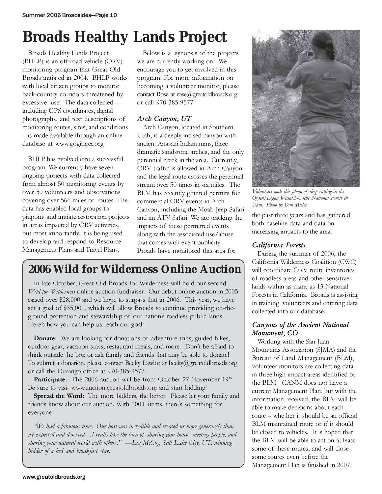# **Broads Healthy Lands Project**

Broads Healthy Lands Project (BHLP) is an off-road vehicle (ORV) monitoring program that Great Old Broads initiated in 2004. BHLP works with local citizen groups to monitor back-country corridors threatened by excessive use. The data collected – including GPS coordinates, digital photographs, and text descriptions of monitoring routes, sites, and conditions – is made available through an online database at www.goginger.org.

BHLP has evolved into a successful program. We currently have seven ongoing projects with data collected from almost 50 monitoring events by over 50 volunteers and observations covering over 566 miles of routes. The data has enabled local groups to pinpoint and initiate restoration projects in areas impacted by ORV activities, but most importantly, it is being used to develop and respond to Resource Management Plans and Travel Plans.

Below is a synopsis of the projects we are currently working on. We encourage you to get involved in this program. For more information on becoming a volunteer monitor, please contact Rose at rose@greatoldbroads.org or call 970-385-9577.

#### Arch Canyon, UT

Arch Canyon, located in Southern Utah, is a deeply incised canyon with ancient Anasazi Indian ruins, three dramatic sandstone arches, and the only perennial creek in the area. Currently, ORV traffic is allowed in Arch Canyon and the legal route crosses the perennial stream over 50 times in six miles. The BLM has recently granted permits for commercial ORV events in Arch Canyon, including the Moab Jeep Safari and an ATV Safari. We are tracking the impacts of these permitted events along with the associated use/abuse that comes with event publicity. Broads have monitored this area for

# **2006 Wild for Wilderness Online Auction**

In late October, Great Old Broads for Wilderness will hold our second Wild for Wilderness online auction fundraiser. Our debut online auction in 2005 raised over \$28,000 and we hope to surpass that in 2006. This year, we have set a goal of \$35,000, which will allow Broads to continue providing on-theground protection and stewardship of our nation's roadless public lands. Here's how you can help us reach our goal:

Donate: We are looking for donations of adventure trips, guided hikes, outdoor gear, vacation stays, restaurant meals, and more. Don't be afraid to think outside the box or ask family and friends that may be able to donate! To submit a donation, please contact Becky Lawlor at becky@greatoldbroads.org or call the Durango office at 970-385-9577.

Participate: The 2006 auction will be from October 27-November 19th. Be sure to visit www.auction.greatoldbroads.org and start bidding!

Spread the Word: The more bidders, the better. Please let your family and friends know about our auction. With 100+ items, there's something for everyone.

"We had a fabulous time. Our host was incredible and treated us more generously than we expected and deserved…I really like the idea of sharing your house, meeting people, and sharing your natural world with others."  $-\text{Liz}$  McCoy, Salt Lake City, UT, winning bidder of a bed and breakfast stay.



Volunteers took this photo of deep rutting in the Ogden/Logan Wasatch-Cache National Forest in Utah. Photo by Dan Miller

the past three years and has gathered both baseline data and data on increasing impacts to the area.

#### California Forests

During the summer of 2006, the California Wilderness Coalition (CWC) will coordinate ORV route inventories of roadless areas and other sensitive lands within as many as 13 National Forests in California. Broads is assisting in training volunteers and entering data collected into our database.

#### Canyons of the Ancient National Monument, CO

Working with the San Juan Mountains Association (SJMA) and the Bureau of Land Management (BLM), volunteer monitors are collecting data in three high impact areas identified by the BLM. CANM does not have a current Management Plan, but with the information received, the BLM will be able to make decisions about each route – whether it should be an official BLM maintained route or if it should be closed to vehicles. It is hoped that the BLM will be able to act on at least some of these routes, and will close some routes even before the Management Plan is finished in 2007.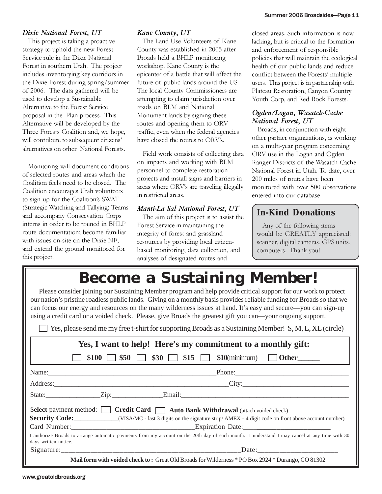#### Dixie National Forest, UT

This project is taking a proactive strategy to uphold the new Forest Service rule in the Dixie National Forest in southern Utah. The project includes inventorying key corridors in the Dixie Forest during spring/summer of 2006. The data gathered will be used to develop a Sustainable Alternative to the Forest Service proposal in the Plan process. This Alternative will be developed by the Three Forests Coalition and, we hope, will contribute to subsequent citizens' alternatives on other National Forests.

Monitoring will document conditions of selected routes and areas which the Coalition feels need to be closed. The Coalition encourages Utah volunteers to sign up for the Coalition's SWAT (Strategic Watching and Tallying) Teams and accompany Conservation Corps interns in order to be trained in BHLP route documentation; become familiar with issues on-site on the Dixie NF; and extend the ground monitored for this project.

#### Kane County, UT

The Land Use Volunteers of Kane County was established in 2005 after Broads held a BHLP monitoring workshop. Kane County is the epicenter of a battle that will affect the future of public lands around the US. The local County Commissioners are attempting to claim jurisdiction over roads on BLM and National Monument lands by signing these routes and opening them to ORV traffic, even when the federal agencies have closed the routes to ORV's.

Field work consists of collecting data on impacts and working with BLM personnel to complete restoration projects and install signs and barriers in areas where ORV's are traveling illegally in restricted areas.

#### Manti-La Sal National Forest, UT

The aim of this project is to assist the Forest Service in maintaining the integrity of forest and grassland resources by providing local citizenbased monitoring, data collection, and analyses of designated routes and

closed areas. Such information is now lacking, but is critical to the formation and enforcement of responsible policies that will maintain the ecological health of our public lands and reduce conflict between the Forests' multiple users. This project is in partnership with Plateau Restoration, Canyon Country Youth Corp, and Red Rock Forests.

#### Ogden/Logan, Wasatch-Cache National Forest, UT

Broads, in conjunction with eight other partner organizations, is working on a multi-year program concerning ORV use in the Logan and Ogden Ranger Districts of the Wasatch-Cache National Forest in Utah. To date, over 200 miles of routes have been monitored with over 500 observations entered into our database.

#### **In-Kind Donations**

Any of the following items would be GREATLY appreciated: scanner, digital cameras, GPS units, computers. Thank you!

# **Become a Sustaining Member!**

Please consider joining our Sustaining Member program and help provide critical support for our work to protect our nation's pristine roadless public lands. Giving on a monthly basis provides reliable funding for Broads so that we can focus our energy and resources on the many wilderness issues at hand. It's easy and secure—you can sign-up using a credit card or a voided check. Please, give Broads the greatest gift you can—your ongoing support.

Yes, please send me my free t-shirt for supporting Broads as a Sustaining Member! S, M, L, XL (circle)

| Yes, I want to help! Here's my commitment to a monthly gift:                                                                                                          |                                                                                                                                                                                                                                |  |  |  |  |
|-----------------------------------------------------------------------------------------------------------------------------------------------------------------------|--------------------------------------------------------------------------------------------------------------------------------------------------------------------------------------------------------------------------------|--|--|--|--|
|                                                                                                                                                                       | \$100 $\Box$ \$50 $\Box$ \$30 $\Box$ \$15 $\Box$ \$10(minimum) $\Box$ Other                                                                                                                                                    |  |  |  |  |
|                                                                                                                                                                       | Name: Phone: Phone: Phone: Phone: Phone: Phone: Phone: Phone: Phone: Phone: Phone: Phone: Phone: Phone: Phone: Phone: Phone: Phone: Phone: Phone: Phone: Phone: Phone: Phone: Phone: Phone: Phone: Phone: Phone: Phone: Phone: |  |  |  |  |
|                                                                                                                                                                       | Address: City: City:                                                                                                                                                                                                           |  |  |  |  |
|                                                                                                                                                                       |                                                                                                                                                                                                                                |  |  |  |  |
| Select payment method: Credit Card   Auto Bank Withdrawal (attach voided check)                                                                                       |                                                                                                                                                                                                                                |  |  |  |  |
| <b>Security Code:</b> ________________(VISA/MC - last 3 digits on the signature strip/ AMEX - 4 digit code on front above account number)                             |                                                                                                                                                                                                                                |  |  |  |  |
|                                                                                                                                                                       |                                                                                                                                                                                                                                |  |  |  |  |
| I authorize Broads to arrange automatic payments from my account on the 20th day of each month. I understand I may cancel at any time with 30<br>days written notice. |                                                                                                                                                                                                                                |  |  |  |  |
|                                                                                                                                                                       |                                                                                                                                                                                                                                |  |  |  |  |
| Mail form with voided check to: Great Old Broads for Wilderness * PO Box 2924 * Durango, CO 81302                                                                     |                                                                                                                                                                                                                                |  |  |  |  |